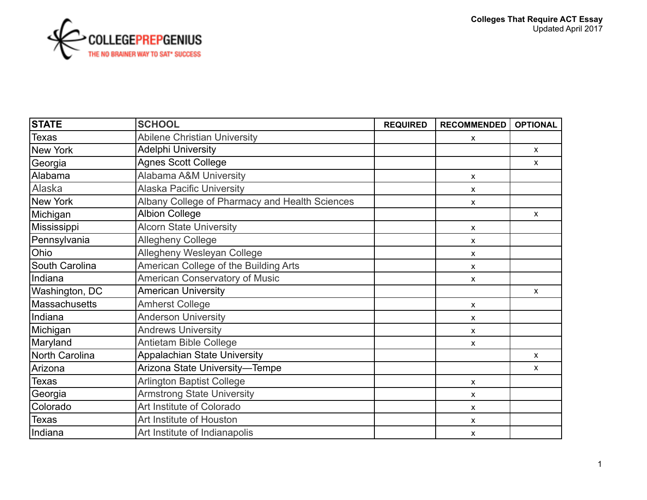

| <b>STATE</b>   | <b>SCHOOL</b>                                  | <b>REQUIRED</b> | <b>RECOMMENDED</b>        | <b>OPTIONAL</b> |
|----------------|------------------------------------------------|-----------------|---------------------------|-----------------|
| <b>Texas</b>   | <b>Abilene Christian University</b>            |                 | x                         |                 |
| New York       | Adelphi University                             |                 |                           | $\mathsf{X}$    |
| Georgia        | <b>Agnes Scott College</b>                     |                 |                           | $\mathsf{X}$    |
| Alabama        | <b>Alabama A&amp;M University</b>              |                 | X                         |                 |
| Alaska         | <b>Alaska Pacific University</b>               |                 | X                         |                 |
| New York       | Albany College of Pharmacy and Health Sciences |                 | X                         |                 |
| Michigan       | <b>Albion College</b>                          |                 |                           | $\mathsf{X}$    |
| Mississippi    | <b>Alcorn State University</b>                 |                 | $\boldsymbol{\mathsf{x}}$ |                 |
| Pennsylvania   | <b>Allegheny College</b>                       |                 | X                         |                 |
| Ohio           | Allegheny Wesleyan College                     |                 | X                         |                 |
| South Carolina | American College of the Building Arts          |                 | X                         |                 |
| Indiana        | American Conservatory of Music                 |                 | $\pmb{\mathsf{X}}$        |                 |
| Washington, DC | <b>American University</b>                     |                 |                           | $\mathsf{X}$    |
| Massachusetts  | <b>Amherst College</b>                         |                 | X                         |                 |
| Indiana        | <b>Anderson University</b>                     |                 | X                         |                 |
| Michigan       | <b>Andrews University</b>                      |                 | X                         |                 |
| Maryland       | <b>Antietam Bible College</b>                  |                 | x                         |                 |
| North Carolina | <b>Appalachian State University</b>            |                 |                           | $\mathsf{x}$    |
| Arizona        | Arizona State University-Tempe                 |                 |                           | X               |
| <b>Texas</b>   | <b>Arlington Baptist College</b>               |                 | X                         |                 |
| Georgia        | <b>Armstrong State University</b>              |                 | X                         |                 |
| Colorado       | Art Institute of Colorado                      |                 | X                         |                 |
| <b>Texas</b>   | Art Institute of Houston                       |                 | X                         |                 |
| Indiana        | Art Institute of Indianapolis                  |                 | X                         |                 |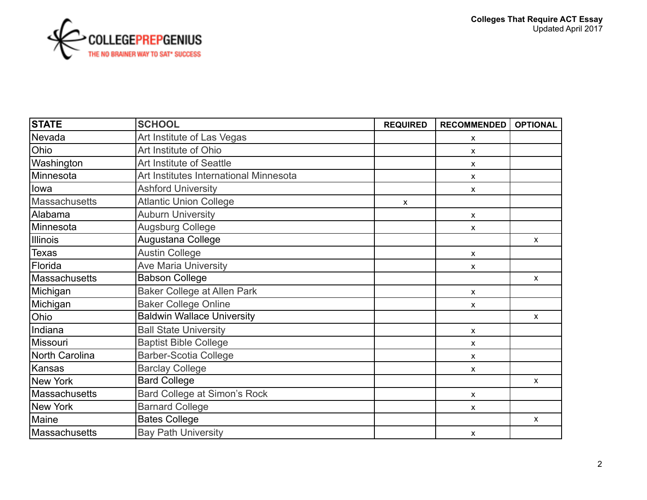

| <b>STATE</b>   | <b>SCHOOL</b>                          | <b>REQUIRED</b> | <b>RECOMMENDED</b>        | <b>OPTIONAL</b> |
|----------------|----------------------------------------|-----------------|---------------------------|-----------------|
| Nevada         | Art Institute of Las Vegas             |                 | X                         |                 |
| Ohio           | Art Institute of Ohio                  |                 | X                         |                 |
| Washington     | Art Institute of Seattle               |                 | X                         |                 |
| Minnesota      | Art Institutes International Minnesota |                 | X                         |                 |
| lowa           | <b>Ashford University</b>              |                 | X                         |                 |
| Massachusetts  | <b>Atlantic Union College</b>          | $\pmb{\chi}$    |                           |                 |
| Alabama        | <b>Auburn University</b>               |                 | X                         |                 |
| Minnesota      | Augsburg College                       |                 | $\boldsymbol{\mathsf{x}}$ |                 |
| Illinois       | Augustana College                      |                 |                           | $\mathsf{x}$    |
| <b>Texas</b>   | <b>Austin College</b>                  |                 | X                         |                 |
| Florida        | <b>Ave Maria University</b>            |                 | X                         |                 |
| Massachusetts  | <b>Babson College</b>                  |                 |                           | $\mathsf{x}$    |
| Michigan       | <b>Baker College at Allen Park</b>     |                 | X                         |                 |
| Michigan       | <b>Baker College Online</b>            |                 | X                         |                 |
| Ohio           | <b>Baldwin Wallace University</b>      |                 |                           | $\mathsf{x}$    |
| Indiana        | <b>Ball State University</b>           |                 | X                         |                 |
| Missouri       | <b>Baptist Bible College</b>           |                 | x                         |                 |
| North Carolina | <b>Barber-Scotia College</b>           |                 | x                         |                 |
| Kansas         | <b>Barclay College</b>                 |                 | X                         |                 |
| New York       | <b>Bard College</b>                    |                 |                           | $\mathsf{x}$    |
| Massachusetts  | Bard College at Simon's Rock           |                 | X                         |                 |
| New York       | <b>Barnard College</b>                 |                 | X                         |                 |
| Maine          | <b>Bates College</b>                   |                 |                           | $\pmb{\chi}$    |
| Massachusetts  | <b>Bay Path University</b>             |                 | X                         |                 |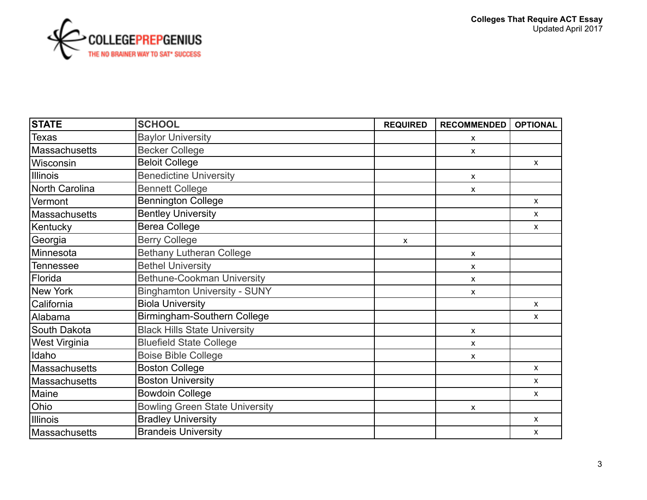

| <b>STATE</b>         | <b>SCHOOL</b>                         | <b>REQUIRED</b> | <b>RECOMMENDED</b> | <b>OPTIONAL</b> |
|----------------------|---------------------------------------|-----------------|--------------------|-----------------|
| <b>Texas</b>         | <b>Baylor University</b>              |                 | X                  |                 |
| Massachusetts        | <b>Becker College</b>                 |                 | X                  |                 |
| Wisconsin            | <b>Beloit College</b>                 |                 |                    | $\mathsf{X}$    |
| Illinois             | <b>Benedictine University</b>         |                 | X                  |                 |
| North Carolina       | <b>Bennett College</b>                |                 | X                  |                 |
| lVermont             | <b>Bennington College</b>             |                 |                    | $\mathsf{X}$    |
| Massachusetts        | <b>Bentley University</b>             |                 |                    | $\mathsf{X}$    |
| Kentucky             | Berea College                         |                 |                    | $\mathsf{X}$    |
| Georgia              | <b>Berry College</b>                  | X               |                    |                 |
| Minnesota            | <b>Bethany Lutheran College</b>       |                 | X                  |                 |
| <b>Tennessee</b>     | <b>Bethel University</b>              |                 | X                  |                 |
| Florida              | <b>Bethune-Cookman University</b>     |                 | X                  |                 |
| New York             | <b>Binghamton University - SUNY</b>   |                 | X                  |                 |
| California           | <b>Biola University</b>               |                 |                    | $\mathsf{x}$    |
| Alabama              | Birmingham-Southern College           |                 |                    | X               |
| South Dakota         | <b>Black Hills State University</b>   |                 | X                  |                 |
| <b>West Virginia</b> | <b>Bluefield State College</b>        |                 | X                  |                 |
| Idaho                | <b>Boise Bible College</b>            |                 | X                  |                 |
| Massachusetts        | <b>Boston College</b>                 |                 |                    | $\mathsf{X}$    |
| Massachusetts        | <b>Boston University</b>              |                 |                    | $\mathsf{x}$    |
| Maine                | <b>Bowdoin College</b>                |                 |                    | X               |
| Ohio                 | <b>Bowling Green State University</b> |                 | X                  |                 |
| Illinois             | <b>Bradley University</b>             |                 |                    | X               |
| Massachusetts        | <b>Brandeis University</b>            |                 |                    | X               |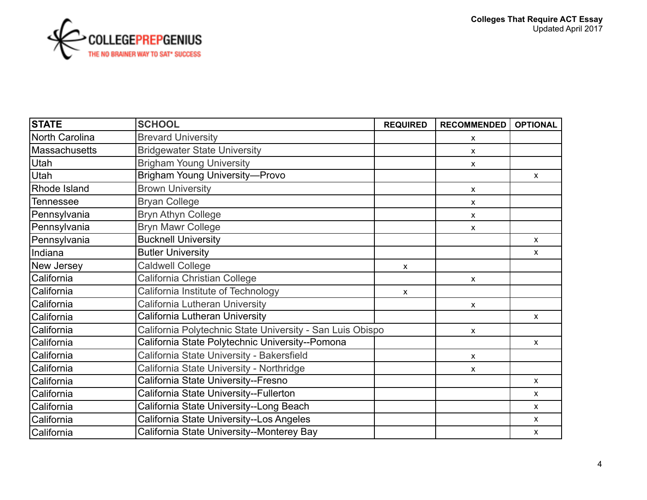

| <b>STATE</b>       | <b>SCHOOL</b>                                             | <b>REQUIRED</b> | <b>RECOMMENDED</b>        | <b>OPTIONAL</b> |
|--------------------|-----------------------------------------------------------|-----------------|---------------------------|-----------------|
| North Carolina     | <b>Brevard University</b>                                 |                 | X                         |                 |
| Massachusetts      | <b>Bridgewater State University</b>                       |                 | X                         |                 |
| Utah               | <b>Brigham Young University</b>                           |                 | x                         |                 |
| Utah               | <b>Brigham Young University-Provo</b>                     |                 |                           | $\mathsf{x}$    |
| Rhode Island       | <b>Brown University</b>                                   |                 | X                         |                 |
| Tennessee          | <b>Bryan College</b>                                      |                 | X                         |                 |
| Pennsylvania       | <b>Bryn Athyn College</b>                                 |                 | X                         |                 |
| Pennsylvania       | <b>Bryn Mawr College</b>                                  |                 | $\mathsf{x}$              |                 |
| Pennsylvania       | <b>Bucknell University</b>                                |                 |                           | $\mathsf{X}$    |
| Indiana            | <b>Butler University</b>                                  |                 |                           | $\mathsf{x}$    |
| New Jersey         | <b>Caldwell College</b>                                   | $\mathsf{x}$    |                           |                 |
| California         | California Christian College                              |                 | $\mathsf{x}$              |                 |
| California         | California Institute of Technology                        | $\mathsf{x}$    |                           |                 |
| <b>ICalifornia</b> | California Lutheran University                            |                 | $\boldsymbol{\mathsf{x}}$ |                 |
| California         | California Lutheran University                            |                 |                           | $\mathsf{x}$    |
| California         | California Polytechnic State University - San Luis Obispo |                 | $\boldsymbol{\mathsf{x}}$ |                 |
| California         | California State Polytechnic University--Pomona           |                 |                           | $\mathsf{X}$    |
| California         | California State University - Bakersfield                 |                 | X                         |                 |
| California         | California State University - Northridge                  |                 | X                         |                 |
| California         | California State University--Fresno                       |                 |                           | $\mathsf{x}$    |
| California         | California State University--Fullerton                    |                 |                           | $\mathsf{X}$    |
| California         | California State University--Long Beach                   |                 |                           | $\mathsf{x}$    |
| California         | California State University--Los Angeles                  |                 |                           | $\mathsf{X}$    |
| California         | California State University--Monterey Bay                 |                 |                           | $\mathsf{X}$    |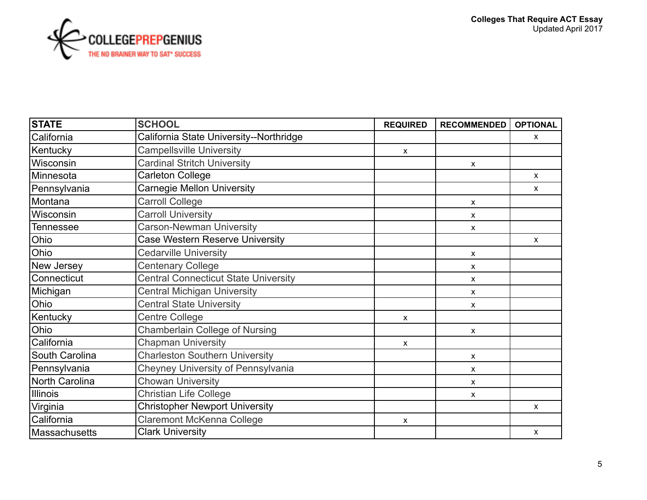

| <b>STATE</b>   | <b>SCHOOL</b>                               | <b>REQUIRED</b> | <b>RECOMMENDED</b> | <b>OPTIONAL</b>    |
|----------------|---------------------------------------------|-----------------|--------------------|--------------------|
| California     | California State University--Northridge     |                 |                    | X                  |
| Kentucky       | <b>Campellsville University</b>             | X               |                    |                    |
| Wisconsin      | <b>Cardinal Stritch University</b>          |                 | X                  |                    |
| Minnesota      | Carleton College                            |                 |                    | $\pmb{\mathsf{X}}$ |
| Pennsylvania   | Carnegie Mellon University                  |                 |                    | X                  |
| Montana        | <b>Carroll College</b>                      |                 | X                  |                    |
| Wisconsin      | <b>Carroll University</b>                   |                 | x                  |                    |
| Tennessee      | <b>Carson-Newman University</b>             |                 | X                  |                    |
| Ohio           | <b>Case Western Reserve University</b>      |                 |                    | $\pmb{\mathsf{X}}$ |
| Ohio           | <b>Cedarville University</b>                |                 | X                  |                    |
| New Jersey     | <b>Centenary College</b>                    |                 | X                  |                    |
| Connecticut    | <b>Central Connecticut State University</b> |                 | X                  |                    |
| Michigan       | <b>Central Michigan University</b>          |                 | X                  |                    |
| Ohio           | <b>Central State University</b>             |                 | X                  |                    |
| Kentucky       | <b>Centre College</b>                       | X               |                    |                    |
| Ohio           | <b>Chamberlain College of Nursing</b>       |                 | X                  |                    |
| California     | <b>Chapman University</b>                   | $\mathsf{x}$    |                    |                    |
| South Carolina | <b>Charleston Southern University</b>       |                 | X                  |                    |
| Pennsylvania   | <b>Cheyney University of Pennsylvania</b>   |                 | X                  |                    |
| North Carolina | <b>Chowan University</b>                    |                 | X                  |                    |
| Illinois       | <b>Christian Life College</b>               |                 | X                  |                    |
| Virginia       | <b>Christopher Newport University</b>       |                 |                    | $\mathsf{x}$       |
| California     | <b>Claremont McKenna College</b>            | X               |                    |                    |
| Massachusetts  | <b>Clark University</b>                     |                 |                    | $\pmb{\chi}$       |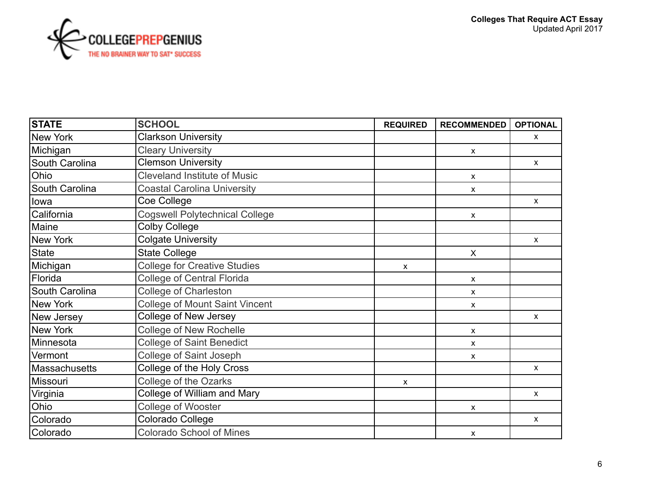

| <b>STATE</b>    | <b>SCHOOL</b>                         | <b>REQUIRED</b> | <b>RECOMMENDED</b> | <b>OPTIONAL</b> |
|-----------------|---------------------------------------|-----------------|--------------------|-----------------|
| <b>New York</b> | <b>Clarkson University</b>            |                 |                    | X               |
| Michigan        | <b>Cleary University</b>              |                 | $\mathsf{x}$       |                 |
| South Carolina  | <b>Clemson University</b>             |                 |                    | $\mathsf{x}$    |
| Ohio            | <b>Cleveland Institute of Music</b>   |                 | X                  |                 |
| South Carolina  | <b>Coastal Carolina University</b>    |                 | X                  |                 |
| lowa            | Coe College                           |                 |                    | $\mathsf{x}$    |
| California      | <b>Cogswell Polytechnical College</b> |                 | X                  |                 |
| Maine           | <b>Colby College</b>                  |                 |                    |                 |
| New York        | <b>Colgate University</b>             |                 |                    | $\mathsf{x}$    |
| State           | <b>State College</b>                  |                 | X                  |                 |
| Michigan        | <b>College for Creative Studies</b>   | X               |                    |                 |
| Florida         | <b>College of Central Florida</b>     |                 | X                  |                 |
| South Carolina  | <b>College of Charleston</b>          |                 | X                  |                 |
| New York        | <b>College of Mount Saint Vincent</b> |                 | X                  |                 |
| New Jersey      | College of New Jersey                 |                 |                    | $\mathsf{x}$    |
| New York        | <b>College of New Rochelle</b>        |                 | X                  |                 |
| Minnesota       | <b>College of Saint Benedict</b>      |                 | X                  |                 |
| Vermont         | College of Saint Joseph               |                 | X                  |                 |
| Massachusetts   | College of the Holy Cross             |                 |                    | $\mathsf{x}$    |
| Missouri        | College of the Ozarks                 | $\mathsf{x}$    |                    |                 |
| Virginia        | College of William and Mary           |                 |                    | $\pmb{\chi}$    |
| Ohio            | College of Wooster                    |                 | X                  |                 |
| Colorado        | Colorado College                      |                 |                    | $\mathsf{x}$    |
| Colorado        | <b>Colorado School of Mines</b>       |                 | X                  |                 |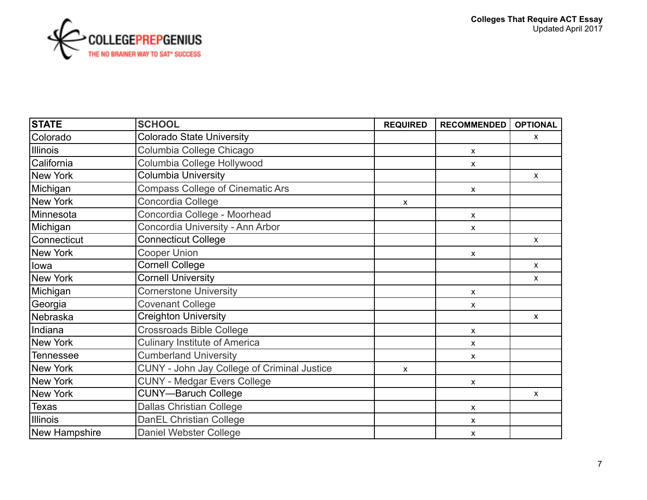

| <b>STATE</b>  | <b>SCHOOL</b>                               | <b>REQUIRED</b> | <b>RECOMMENDED</b>        | <b>OPTIONAL</b> |
|---------------|---------------------------------------------|-----------------|---------------------------|-----------------|
| Colorado      | <b>Colorado State University</b>            |                 |                           | X               |
| Illinois      | Columbia College Chicago                    |                 | X                         |                 |
| California    | Columbia College Hollywood                  |                 | X                         |                 |
| New York      | <b>Columbia University</b>                  |                 |                           | $\mathsf{x}$    |
| Michigan      | <b>Compass College of Cinematic Ars</b>     |                 | X                         |                 |
| New York      | Concordia College                           | X               |                           |                 |
| Minnesota     | Concordia College - Moorhead                |                 | X                         |                 |
| Michigan      | Concordia University - Ann Arbor            |                 | X                         |                 |
| Connecticut   | <b>Connecticut College</b>                  |                 |                           | $\mathsf{X}$    |
| New York      | <b>Cooper Union</b>                         |                 | X                         |                 |
| lowa          | <b>Cornell College</b>                      |                 |                           | $\mathsf{X}$    |
| New York      | <b>Cornell University</b>                   |                 |                           | $\mathsf{X}$    |
| Michigan      | <b>Cornerstone University</b>               |                 | X                         |                 |
| Georgia       | <b>Covenant College</b>                     |                 | X                         |                 |
| Nebraska      | <b>Creighton University</b>                 |                 |                           | $\mathsf{X}$    |
| Indiana       | <b>Crossroads Bible College</b>             |                 | X                         |                 |
| New York      | <b>Culinary Institute of America</b>        |                 | x                         |                 |
| Tennessee     | <b>Cumberland University</b>                |                 | $\mathsf{x}$              |                 |
| New York      | CUNY - John Jay College of Criminal Justice | X               |                           |                 |
| New York      | <b>CUNY - Medgar Evers College</b>          |                 | $\boldsymbol{\mathsf{x}}$ |                 |
| New York      | <b>CUNY-Baruch College</b>                  |                 |                           | $\mathsf{X}$    |
| <b>Texas</b>  | <b>Dallas Christian College</b>             |                 | X                         |                 |
| Illinois      | DanEL Christian College                     |                 | X                         |                 |
| New Hampshire | Daniel Webster College                      |                 | X                         |                 |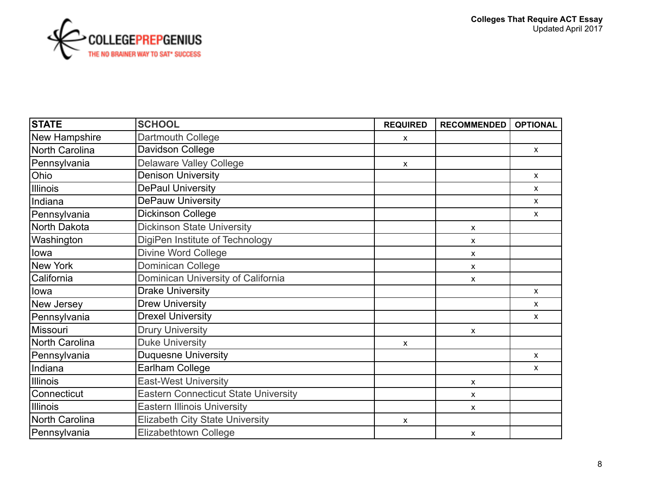

| <b>STATE</b>   | <b>SCHOOL</b>                               | <b>REQUIRED</b> | <b>RECOMMENDED</b> | <b>OPTIONAL</b> |
|----------------|---------------------------------------------|-----------------|--------------------|-----------------|
| New Hampshire  | Dartmouth College                           | X               |                    |                 |
| North Carolina | Davidson College                            |                 |                    | X.              |
| Pennsylvania   | <b>Delaware Valley College</b>              | $\mathsf{x}$    |                    |                 |
| Ohio           | <b>Denison University</b>                   |                 |                    | $\mathsf{X}$    |
| Illinois       | <b>DePaul University</b>                    |                 |                    | $\mathsf{X}$    |
| Indiana        | <b>DePauw University</b>                    |                 |                    | $\mathsf{X}$    |
| Pennsylvania   | <b>Dickinson College</b>                    |                 |                    | $\mathsf{x}$    |
| North Dakota   | <b>Dickinson State University</b>           |                 | $\mathsf{x}$       |                 |
| Washington     | DigiPen Institute of Technology             |                 | X                  |                 |
| lowa           | <b>Divine Word College</b>                  |                 | $\mathsf{x}$       |                 |
| New York       | Dominican College                           |                 | $\mathsf{x}$       |                 |
| California     | Dominican University of California          |                 | X                  |                 |
| llowa          | <b>Drake University</b>                     |                 |                    | $\mathsf{X}$    |
| New Jersey     | <b>Drew University</b>                      |                 |                    | $\mathsf{x}$    |
| Pennsylvania   | <b>Drexel University</b>                    |                 |                    | $\mathsf{X}$    |
| Missouri       | <b>Drury University</b>                     |                 | $\mathsf{x}$       |                 |
| North Carolina | <b>Duke University</b>                      | X               |                    |                 |
| Pennsylvania   | <b>Duquesne University</b>                  |                 |                    | $\mathsf{x}$    |
| Indiana        | Earlham College                             |                 |                    | X               |
| Illinois       | <b>East-West University</b>                 |                 | X                  |                 |
| Connecticut    | <b>Eastern Connecticut State University</b> |                 | X                  |                 |
| Illinois       | <b>Eastern Illinois University</b>          |                 | X                  |                 |
| North Carolina | <b>Elizabeth City State University</b>      | X               |                    |                 |
| Pennsylvania   | <b>Elizabethtown College</b>                |                 | X                  |                 |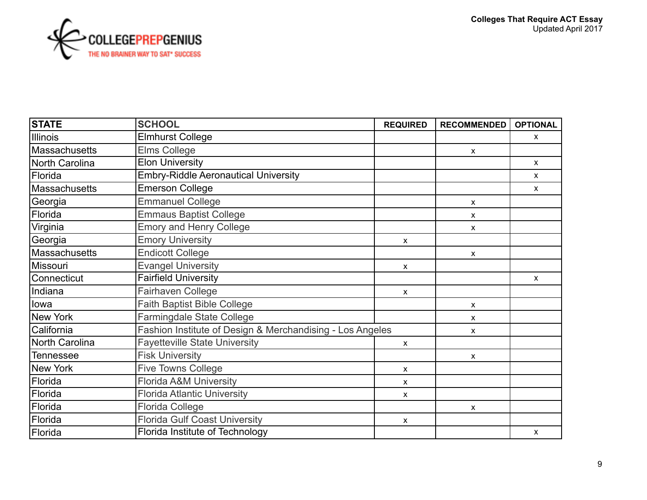

| <b>STATE</b>   | <b>SCHOOL</b>                                             | <b>REQUIRED</b> | <b>RECOMMENDED</b> | <b>OPTIONAL</b> |
|----------------|-----------------------------------------------------------|-----------------|--------------------|-----------------|
| Illinois       | <b>Elmhurst College</b>                                   |                 |                    | $\mathsf{x}$    |
| Massachusetts  | <b>Elms College</b>                                       |                 | X                  |                 |
| North Carolina | <b>Elon University</b>                                    |                 |                    | $\mathsf{x}$    |
| Florida        | <b>Embry-Riddle Aeronautical University</b>               |                 |                    | $\mathsf{x}$    |
| Massachusetts  | <b>Emerson College</b>                                    |                 |                    | $\mathsf{x}$    |
| Georgia        | <b>Emmanuel College</b>                                   |                 | X                  |                 |
| Florida        | <b>Emmaus Baptist College</b>                             |                 | X                  |                 |
| Virginia       | <b>Emory and Henry College</b>                            |                 | x                  |                 |
| Georgia        | <b>Emory University</b>                                   | $\mathsf{x}$    |                    |                 |
| Massachusetts  | <b>Endicott College</b>                                   |                 | X                  |                 |
| Missouri       | <b>Evangel University</b>                                 | $\mathsf{x}$    |                    |                 |
| Connecticut    | <b>Fairfield University</b>                               |                 |                    | $\mathsf{x}$    |
| Indiana        | Fairhaven College                                         | X               |                    |                 |
| lowa           | <b>Faith Baptist Bible College</b>                        |                 | X                  |                 |
| New York       | Farmingdale State College                                 |                 | X                  |                 |
| California     | Fashion Institute of Design & Merchandising - Los Angeles |                 | X                  |                 |
| North Carolina | <b>Fayetteville State University</b>                      | $\mathsf{x}$    |                    |                 |
| Tennessee      | <b>Fisk University</b>                                    |                 | X                  |                 |
| New York       | <b>Five Towns College</b>                                 | $\mathsf{x}$    |                    |                 |
| Florida        | <b>Florida A&amp;M University</b>                         | <b>X</b>        |                    |                 |
| Florida        | <b>Florida Atlantic University</b>                        | X               |                    |                 |
| Florida        | <b>Florida College</b>                                    |                 | X                  |                 |
| Florida        | <b>Florida Gulf Coast University</b>                      | X               |                    |                 |
| Florida        | Florida Institute of Technology                           |                 |                    | $\pmb{\chi}$    |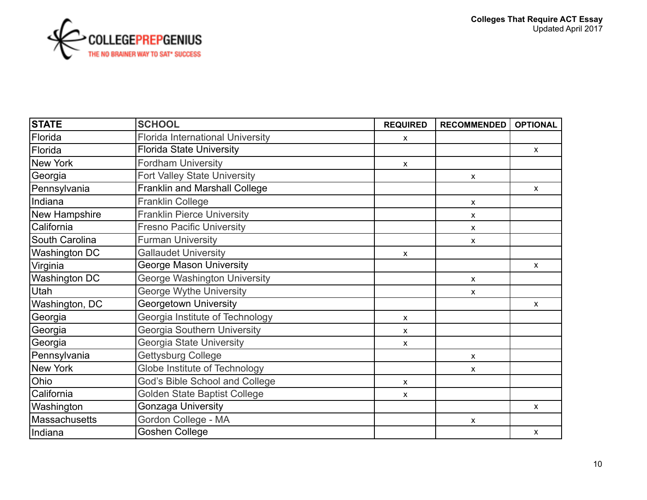

| <b>STATE</b>         | <b>SCHOOL</b>                           | <b>REQUIRED</b> | <b>RECOMMENDED</b>        | <b>OPTIONAL</b> |
|----------------------|-----------------------------------------|-----------------|---------------------------|-----------------|
| Florida              | <b>Florida International University</b> | X               |                           |                 |
| Florida              | <b>Florida State University</b>         |                 |                           | X               |
| New York             | <b>Fordham University</b>               | X               |                           |                 |
| Georgia              | <b>Fort Valley State University</b>     |                 | $\pmb{\mathsf{X}}$        |                 |
| Pennsylvania         | <b>Franklin and Marshall College</b>    |                 |                           | $\mathsf{X}$    |
| Indiana              | <b>Franklin College</b>                 |                 | $\boldsymbol{\mathsf{x}}$ |                 |
| New Hampshire        | <b>Franklin Pierce University</b>       |                 | $\boldsymbol{\mathsf{x}}$ |                 |
| California           | <b>Fresno Pacific University</b>        |                 | $\boldsymbol{\mathsf{x}}$ |                 |
| South Carolina       | <b>Furman University</b>                |                 | $\boldsymbol{\mathsf{x}}$ |                 |
| Washington DC        | <b>Gallaudet University</b>             | $\mathsf{x}$    |                           |                 |
| Virginia             | <b>George Mason University</b>          |                 |                           | $\mathsf{X}$    |
| <b>Washington DC</b> | <b>George Washington University</b>     |                 | $\mathsf{x}$              |                 |
| Utah                 | George Wythe University                 |                 | $\boldsymbol{\mathsf{x}}$ |                 |
| Washington, DC       | <b>Georgetown University</b>            |                 |                           | $\mathsf{x}$    |
| Georgia              | Georgia Institute of Technology         | $\mathsf{x}$    |                           |                 |
| Georgia              | Georgia Southern University             | X               |                           |                 |
| Georgia              | Georgia State University                | $\mathsf{x}$    |                           |                 |
| Pennsylvania         | Gettysburg College                      |                 | $\boldsymbol{\mathsf{x}}$ |                 |
| New York             | Globe Institute of Technology           |                 | X                         |                 |
| Ohio                 | God's Bible School and College          | $\mathsf{x}$    |                           |                 |
| California           | Golden State Baptist College            | X               |                           |                 |
| Washington           | <b>Gonzaga University</b>               |                 |                           | X.              |
| Massachusetts        | Gordon College - MA                     |                 | $\boldsymbol{\mathsf{x}}$ |                 |
| Indiana              | <b>Goshen College</b>                   |                 |                           | $\mathsf{X}$    |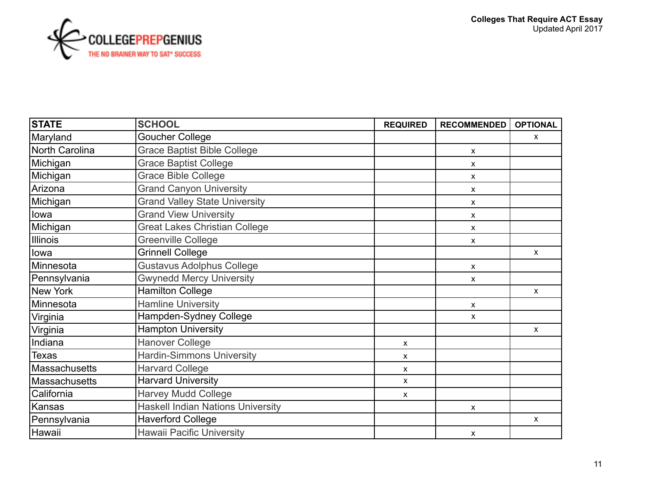

| <b>STATE</b>   | <b>SCHOOL</b>                            | <b>REQUIRED</b> | <b>RECOMMENDED</b> | <b>OPTIONAL</b> |
|----------------|------------------------------------------|-----------------|--------------------|-----------------|
| Maryland       | <b>Goucher College</b>                   |                 |                    | X               |
| North Carolina | <b>Grace Baptist Bible College</b>       |                 | X                  |                 |
| Michigan       | <b>Grace Baptist College</b>             |                 | X                  |                 |
| Michigan       | <b>Grace Bible College</b>               |                 | X                  |                 |
| Arizona        | <b>Grand Canyon University</b>           |                 | X                  |                 |
| Michigan       | <b>Grand Valley State University</b>     |                 | X                  |                 |
| llowa          | <b>Grand View University</b>             |                 | X                  |                 |
| Michigan       | <b>Great Lakes Christian College</b>     |                 | X                  |                 |
| Illinois       | Greenville College                       |                 | X                  |                 |
| lowa           | <b>Grinnell College</b>                  |                 |                    | $\mathsf{X}$    |
| Minnesota      | <b>Gustavus Adolphus College</b>         |                 | X                  |                 |
| Pennsylvania   | <b>Gwynedd Mercy University</b>          |                 | X                  |                 |
| New York       | <b>Hamilton College</b>                  |                 |                    | $\pmb{\chi}$    |
| Minnesota      | <b>Hamline University</b>                |                 | X                  |                 |
| Virginia       | Hampden-Sydney College                   |                 | X                  |                 |
| Virginia       | <b>Hampton University</b>                |                 |                    | $\mathsf{x}$    |
| Indiana        | <b>Hanover College</b>                   | X               |                    |                 |
| <b>Texas</b>   | <b>Hardin-Simmons University</b>         | x               |                    |                 |
| Massachusetts  | <b>Harvard College</b>                   | X               |                    |                 |
| Massachusetts  | <b>Harvard University</b>                | X               |                    |                 |
| California     | <b>Harvey Mudd College</b>               | X               |                    |                 |
| Kansas         | <b>Haskell Indian Nations University</b> |                 | X                  |                 |
| Pennsylvania   | <b>Haverford College</b>                 |                 |                    | $\pmb{\chi}$    |
| Hawaii         | <b>Hawaii Pacific University</b>         |                 | X                  |                 |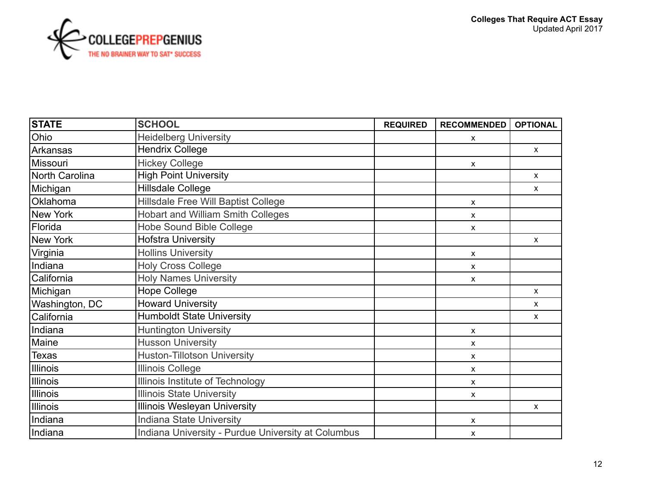

| <b>STATE</b>   | <b>SCHOOL</b>                                      | <b>REQUIRED</b> | <b>RECOMMENDED</b> | <b>OPTIONAL</b> |
|----------------|----------------------------------------------------|-----------------|--------------------|-----------------|
| Ohio           | <b>Heidelberg University</b>                       |                 | x                  |                 |
| Arkansas       | <b>Hendrix College</b>                             |                 |                    | $\mathsf{x}$    |
| Missouri       | <b>Hickey College</b>                              |                 | X                  |                 |
| North Carolina | <b>High Point University</b>                       |                 |                    | $\mathsf{X}$    |
| Michigan       | <b>Hillsdale College</b>                           |                 |                    | X               |
| Oklahoma       | Hillsdale Free Will Baptist College                |                 | X                  |                 |
| New York       | <b>Hobart and William Smith Colleges</b>           |                 | X                  |                 |
| Florida        | <b>Hobe Sound Bible College</b>                    |                 | X                  |                 |
| New York       | <b>Hofstra University</b>                          |                 |                    | $\mathsf{x}$    |
| Virginia       | <b>Hollins University</b>                          |                 | X                  |                 |
| Indiana        | <b>Holy Cross College</b>                          |                 | $\mathsf{x}$       |                 |
| California     | <b>Holy Names University</b>                       |                 | X                  |                 |
| Michigan       | <b>Hope College</b>                                |                 |                    | $\mathsf{X}$    |
| Washington, DC | <b>Howard University</b>                           |                 |                    | $\mathsf{x}$    |
| California     | <b>Humboldt State University</b>                   |                 |                    | $\mathsf{X}$    |
| Indiana        | <b>Huntington University</b>                       |                 | X                  |                 |
| Maine          | <b>Husson University</b>                           |                 | X                  |                 |
| Texas          | <b>Huston-Tillotson University</b>                 |                 | X                  |                 |
| Illinois       | <b>Illinois College</b>                            |                 | X                  |                 |
| Illinois       | Illinois Institute of Technology                   |                 | X                  |                 |
| Illinois       | <b>Illinois State University</b>                   |                 | X                  |                 |
| Illinois       | <b>Illinois Wesleyan University</b>                |                 |                    | $\mathsf{X}$    |
| Indiana        | <b>Indiana State University</b>                    |                 | X                  |                 |
| Indiana        | Indiana University - Purdue University at Columbus |                 | X                  |                 |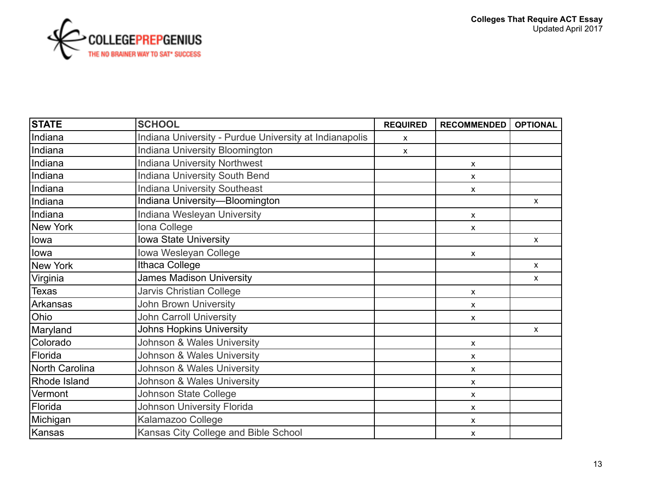

| <b>STATE</b>   | <b>SCHOOL</b>                                          | <b>REQUIRED</b>           | <b>RECOMMENDED</b>        | <b>OPTIONAL</b>    |
|----------------|--------------------------------------------------------|---------------------------|---------------------------|--------------------|
| Indiana        | Indiana University - Purdue University at Indianapolis | X                         |                           |                    |
| Indiana        | Indiana University Bloomington                         | $\boldsymbol{\mathsf{X}}$ |                           |                    |
| Indiana        | <b>Indiana University Northwest</b>                    |                           | X                         |                    |
| Indiana        | <b>Indiana University South Bend</b>                   |                           | $\mathsf{x}$              |                    |
| Indiana        | <b>Indiana University Southeast</b>                    |                           | X                         |                    |
| Indiana        | Indiana University-Bloomington                         |                           |                           | $\mathsf{X}$       |
| Indiana        | Indiana Wesleyan University                            |                           | X                         |                    |
| New York       | Iona College                                           |                           | $\boldsymbol{\mathsf{x}}$ |                    |
| lowa           | <b>Iowa State University</b>                           |                           |                           | $\mathsf{X}$       |
| lowa           | Iowa Wesleyan College                                  |                           | $\boldsymbol{\mathsf{x}}$ |                    |
| New York       | Ithaca College                                         |                           |                           | $\pmb{\chi}$       |
| Virginia       | <b>James Madison University</b>                        |                           |                           | $\pmb{\chi}$       |
| Texas          | Jarvis Christian College                               |                           | X                         |                    |
| Arkansas       | <b>John Brown University</b>                           |                           | X                         |                    |
| Ohio           | <b>John Carroll University</b>                         |                           | X                         |                    |
| Maryland       | <b>Johns Hopkins University</b>                        |                           |                           | $\pmb{\mathsf{X}}$ |
| Colorado       | Johnson & Wales University                             |                           | X                         |                    |
| Florida        | Johnson & Wales University                             |                           | X                         |                    |
| North Carolina | Johnson & Wales University                             |                           | X                         |                    |
| Rhode Island   | Johnson & Wales University                             |                           | X                         |                    |
| Vermont        | <b>Johnson State College</b>                           |                           | X                         |                    |
| Florida        | <b>Johnson University Florida</b>                      |                           | X                         |                    |
| Michigan       | Kalamazoo College                                      |                           | X                         |                    |
| Kansas         | Kansas City College and Bible School                   |                           | X                         |                    |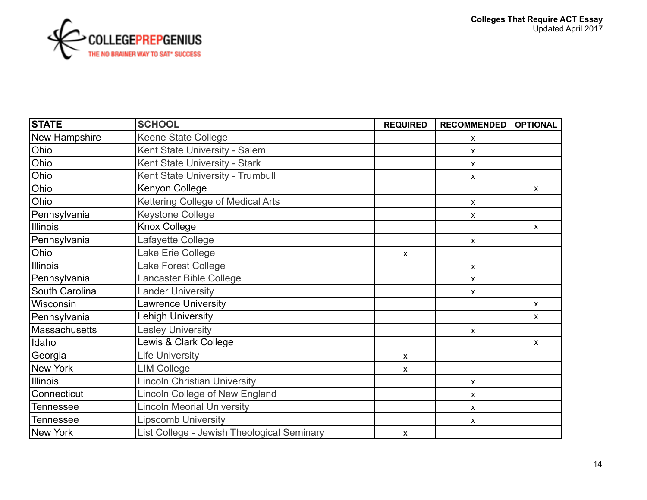| <b>STATE</b>         | <b>SCHOOL</b>                              | <b>REQUIRED</b>           | <b>RECOMMENDED</b>        | <b>OPTIONAL</b> |
|----------------------|--------------------------------------------|---------------------------|---------------------------|-----------------|
| New Hampshire        | Keene State College                        |                           | $\pmb{\mathsf{X}}$        |                 |
| Ohio                 | Kent State University - Salem              |                           | $\pmb{\chi}$              |                 |
| Ohio                 | Kent State University - Stark              |                           | $\mathsf{x}$              |                 |
| Ohio                 | Kent State University - Trumbull           |                           | $\boldsymbol{\mathsf{x}}$ |                 |
| Ohio                 | Kenyon College                             |                           |                           | X               |
| Ohio                 | Kettering College of Medical Arts          |                           | $\mathsf{x}$              |                 |
| Pennsylvania         | <b>Keystone College</b>                    |                           | $\mathsf{x}$              |                 |
| Illinois             | Knox College                               |                           |                           | $\mathsf{x}$    |
| Pennsylvania         | Lafayette College                          |                           | $\boldsymbol{\mathsf{x}}$ |                 |
| Ohio                 | Lake Erie College                          | $\boldsymbol{\mathsf{x}}$ |                           |                 |
| <b>Illinois</b>      | Lake Forest College                        |                           | $\pmb{\mathsf{X}}$        |                 |
| Pennsylvania         | Lancaster Bible College                    |                           | $\pmb{\mathsf{X}}$        |                 |
| South Carolina       | <b>Lander University</b>                   |                           | $\pmb{\mathsf{X}}$        |                 |
| Wisconsin            | <b>Lawrence University</b>                 |                           |                           | $\mathsf{X}$    |
| Pennsylvania         | <b>Lehigh University</b>                   |                           |                           | X               |
| <b>Massachusetts</b> | <b>Lesley University</b>                   |                           | $\boldsymbol{\mathsf{x}}$ |                 |
| Idaho                | Lewis & Clark College                      |                           |                           | X               |
| Georgia              | <b>Life University</b>                     | $\pmb{\mathsf{X}}$        |                           |                 |
| New York             | <b>LIM College</b>                         | $\boldsymbol{\mathsf{x}}$ |                           |                 |
| <b>Illinois</b>      | <b>Lincoln Christian University</b>        |                           | $\pmb{\chi}$              |                 |
| Connecticut          | Lincoln College of New England             |                           | $\pmb{\chi}$              |                 |
| Tennessee            | <b>Lincoln Meorial University</b>          |                           | $\boldsymbol{\mathsf{x}}$ |                 |
| Tennessee            | <b>Lipscomb University</b>                 |                           | $\boldsymbol{\mathsf{x}}$ |                 |
| New York             | List College - Jewish Theological Seminary | $\boldsymbol{\mathsf{x}}$ |                           |                 |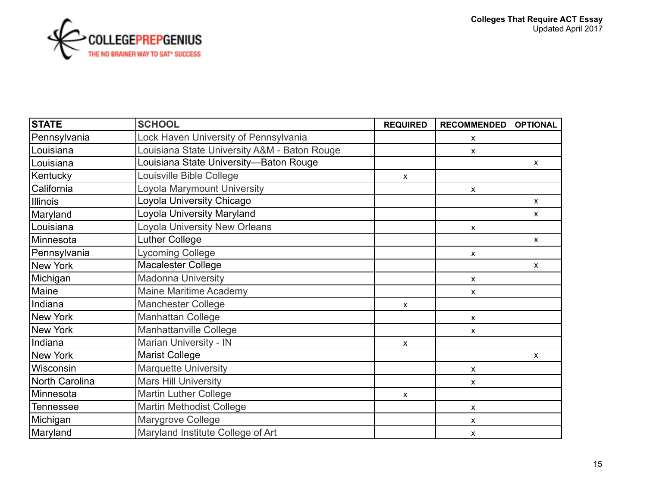

| <b>STATE</b>     | <b>SCHOOL</b>                                | <b>REQUIRED</b> | <b>RECOMMENDED</b>        | <b>OPTIONAL</b> |
|------------------|----------------------------------------------|-----------------|---------------------------|-----------------|
| Pennsylvania     | Lock Haven University of Pennsylvania        |                 | $\boldsymbol{\mathsf{x}}$ |                 |
| Louisiana        | Louisiana State University A&M - Baton Rouge |                 | $\boldsymbol{\mathsf{x}}$ |                 |
| Louisiana        | Louisiana State University—Baton Rouge       |                 |                           | $\mathsf{x}$    |
| Kentucky         | Louisville Bible College                     | X               |                           |                 |
| California       | Loyola Marymount University                  |                 | X                         |                 |
| Illinois         | Loyola University Chicago                    |                 |                           | $\mathsf{X}$    |
| Maryland         | Loyola University Maryland                   |                 |                           | $\mathsf{x}$    |
| Louisiana        | <b>Loyola University New Orleans</b>         |                 | $\boldsymbol{\mathsf{x}}$ |                 |
| Minnesota        | <b>Luther College</b>                        |                 |                           | $\mathsf{X}$    |
| Pennsylvania     | <b>Lycoming College</b>                      |                 | $\boldsymbol{\mathsf{x}}$ |                 |
| New York         | <b>Macalester College</b>                    |                 |                           | $\mathsf{X}$    |
| Michigan         | <b>Madonna University</b>                    |                 | $\boldsymbol{\mathsf{x}}$ |                 |
| Maine            | <b>Maine Maritime Academy</b>                |                 | $\boldsymbol{\mathsf{x}}$ |                 |
| Indiana          | <b>Manchester College</b>                    | $\mathsf{x}$    |                           |                 |
| New York         | <b>Manhattan College</b>                     |                 | $\boldsymbol{\mathsf{x}}$ |                 |
| New York         | Manhattanville College                       |                 | $\boldsymbol{\mathsf{x}}$ |                 |
| Indiana          | Marian University - IN                       | X               |                           |                 |
| New York         | <b>Marist College</b>                        |                 |                           | $\mathsf{X}$    |
| Wisconsin        | <b>Marquette University</b>                  |                 | $\boldsymbol{\mathsf{x}}$ |                 |
| North Carolina   | <b>Mars Hill University</b>                  |                 | $\boldsymbol{\mathsf{x}}$ |                 |
| IMinnesota       | <b>Martin Luther College</b>                 | X               |                           |                 |
| <b>Tennessee</b> | <b>Martin Methodist College</b>              |                 | $\pmb{\chi}$              |                 |
| Michigan         | Marygrove College                            |                 | X                         |                 |
| Maryland         | Maryland Institute College of Art            |                 | X                         |                 |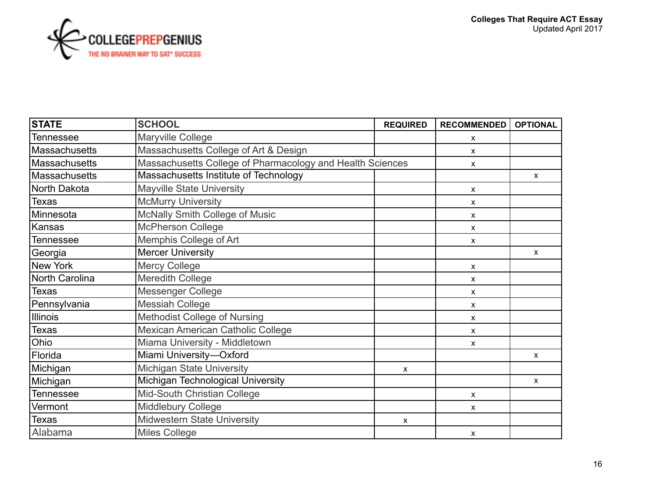

| <b>STATE</b>          | <b>SCHOOL</b>                                             | <b>REQUIRED</b>           | <b>RECOMMENDED</b>        | <b>OPTIONAL</b> |
|-----------------------|-----------------------------------------------------------|---------------------------|---------------------------|-----------------|
| Tennessee             | Maryville College                                         |                           | x                         |                 |
| Massachusetts         | Massachusetts College of Art & Design                     |                           | X                         |                 |
| <b>Massachusetts</b>  | Massachusetts College of Pharmacology and Health Sciences |                           | x                         |                 |
| <b>Massachusetts</b>  | Massachusetts Institute of Technology                     |                           |                           | $\mathsf{x}$    |
| North Dakota          | <b>Mayville State University</b>                          |                           | X                         |                 |
| Texas                 | <b>McMurry University</b>                                 |                           | X                         |                 |
| Minnesota             | McNally Smith College of Music                            |                           | x                         |                 |
| Kansas                | <b>McPherson College</b>                                  |                           | x                         |                 |
| <b>Tennessee</b>      | Memphis College of Art                                    |                           | x                         |                 |
| Georgia               | <b>Mercer University</b>                                  |                           |                           | $\mathsf{X}$    |
| New York              | <b>Mercy College</b>                                      |                           | x                         |                 |
| <b>North Carolina</b> | <b>Meredith College</b>                                   |                           | X                         |                 |
| <b>Texas</b>          | Messenger College                                         |                           | x                         |                 |
| Pennsylvania          | <b>Messiah College</b>                                    |                           | X                         |                 |
| <b>Illinois</b>       | <b>Methodist College of Nursing</b>                       |                           | X                         |                 |
| Texas                 | Mexican American Catholic College                         |                           | $\boldsymbol{\mathsf{x}}$ |                 |
| Ohio                  | Miama University - Middletown                             |                           | X                         |                 |
| Florida               | Miami University-Oxford                                   |                           |                           | $\mathsf{X}$    |
| Michigan              | <b>Michigan State University</b>                          | $\boldsymbol{\mathsf{x}}$ |                           |                 |
| Michigan              | Michigan Technological University                         |                           |                           | $\mathsf{X}$    |
| Tennessee             | Mid-South Christian College                               |                           | x                         |                 |
| Vermont               | <b>Middlebury College</b>                                 |                           | X                         |                 |
| <b>Texas</b>          | Midwestern State University                               | $\mathsf{x}$              |                           |                 |
| Alabama               | <b>Miles College</b>                                      |                           | $\boldsymbol{\mathsf{x}}$ |                 |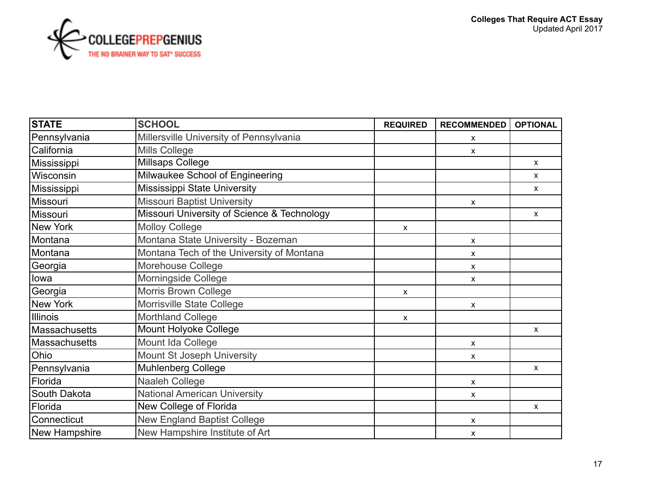

| <b>STATE</b>  | <b>SCHOOL</b>                               | <b>REQUIRED</b>           | <b>RECOMMENDED</b>        | <b>OPTIONAL</b> |
|---------------|---------------------------------------------|---------------------------|---------------------------|-----------------|
| Pennsylvania  | Millersville University of Pennsylvania     |                           | x                         |                 |
| California    | <b>Mills College</b>                        |                           | X                         |                 |
| Mississippi   | Millsaps College                            |                           |                           | $\mathsf{X}$    |
| Wisconsin     | Milwaukee School of Engineering             |                           |                           | $\mathsf{x}$    |
| Mississippi   | Mississippi State University                |                           |                           | $\mathsf{X}$    |
| Missouri      | <b>Missouri Baptist University</b>          |                           | $\boldsymbol{\mathsf{x}}$ |                 |
| Missouri      | Missouri University of Science & Technology |                           |                           | $\mathsf{x}$    |
| New York      | <b>Molloy College</b>                       | $\mathsf{x}$              |                           |                 |
| Montana       | Montana State University - Bozeman          |                           | X                         |                 |
| Montana       | Montana Tech of the University of Montana   |                           | X                         |                 |
| Georgia       | Morehouse College                           |                           | X                         |                 |
| lowa          | Morningside College                         |                           | $\boldsymbol{\mathsf{x}}$ |                 |
| Georgia       | Morris Brown College                        | $\boldsymbol{\mathsf{x}}$ |                           |                 |
| New York      | Morrisville State College                   |                           | $\boldsymbol{\mathsf{x}}$ |                 |
| Illinois      | Morthland College                           | $\mathsf{x}$              |                           |                 |
| Massachusetts | Mount Holyoke College                       |                           |                           | $\mathsf{x}$    |
| Massachusetts | Mount Ida College                           |                           | X                         |                 |
| Ohio          | Mount St Joseph University                  |                           | $\boldsymbol{\mathsf{x}}$ |                 |
| Pennsylvania  | <b>Muhlenberg College</b>                   |                           |                           | $\mathsf{X}$    |
| Florida       | Naaleh College                              |                           | X                         |                 |
| South Dakota  | <b>National American University</b>         |                           | X                         |                 |
| Florida       | New College of Florida                      |                           |                           | $\mathsf{x}$    |
| Connecticut   | <b>New England Baptist College</b>          |                           | X                         |                 |
| New Hampshire | New Hampshire Institute of Art              |                           | X                         |                 |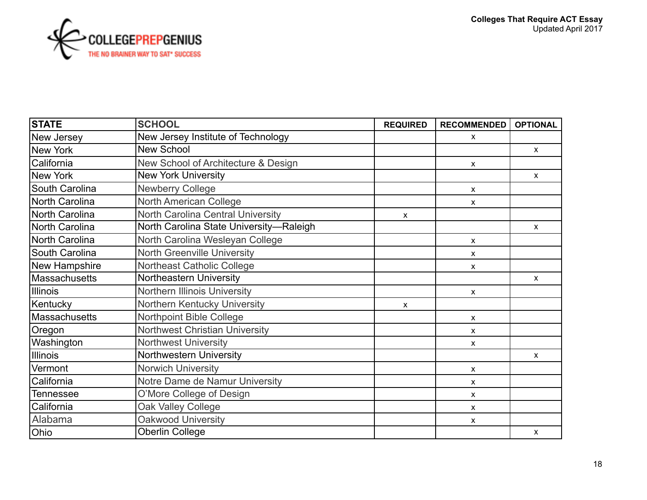

| <b>STATE</b>         | <b>SCHOOL</b>                           | <b>REQUIRED</b> | <b>RECOMMENDED</b> | <b>OPTIONAL</b> |
|----------------------|-----------------------------------------|-----------------|--------------------|-----------------|
| New Jersey           | New Jersey Institute of Technology      |                 | X                  |                 |
| New York             | New School                              |                 |                    | $\mathsf{X}$    |
| California           | New School of Architecture & Design     |                 | x                  |                 |
| New York             | <b>New York University</b>              |                 |                    | $\mathsf{x}$    |
| South Carolina       | <b>Newberry College</b>                 |                 | x                  |                 |
| North Carolina       | <b>North American College</b>           |                 | X                  |                 |
| North Carolina       | North Carolina Central University       | X               |                    |                 |
| North Carolina       | North Carolina State University-Raleigh |                 |                    | $\mathsf{X}$    |
| North Carolina       | North Carolina Wesleyan College         |                 | X                  |                 |
| South Carolina       | <b>North Greenville University</b>      |                 | X                  |                 |
| New Hampshire        | Northeast Catholic College              |                 | x                  |                 |
| <b>Massachusetts</b> | Northeastern University                 |                 |                    | $\mathsf{x}$    |
| Illinois             | Northern Illinois University            |                 | X                  |                 |
| Kentucky             | Northern Kentucky University            | $\mathsf{x}$    |                    |                 |
| Massachusetts        | Northpoint Bible College                |                 | X                  |                 |
| Oregon               | <b>Northwest Christian University</b>   |                 | x                  |                 |
| Washington           | <b>Northwest University</b>             |                 | X                  |                 |
| <b>Illinois</b>      | Northwestern University                 |                 |                    | $\mathsf{x}$    |
| Vermont              | Norwich University                      |                 | X                  |                 |
| California           | Notre Dame de Namur University          |                 | X                  |                 |
| Tennessee            | O'More College of Design                |                 | X                  |                 |
| California           | Oak Valley College                      |                 | X                  |                 |
| Alabama              | Oakwood University                      |                 | x                  |                 |
| Ohio                 | <b>Oberlin College</b>                  |                 |                    | X               |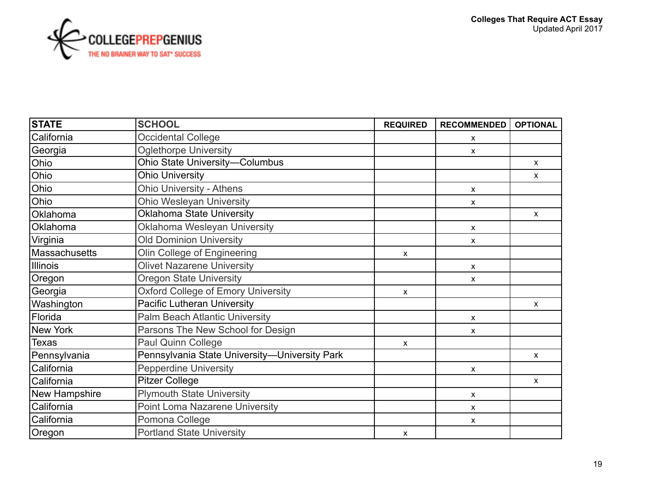

| <b>STATE</b>    | <b>SCHOOL</b>                                 | <b>REQUIRED</b> | <b>RECOMMENDED</b>        | <b>OPTIONAL</b> |
|-----------------|-----------------------------------------------|-----------------|---------------------------|-----------------|
| California      | <b>Occidental College</b>                     |                 | X                         |                 |
| Georgia         | <b>Oglethorpe University</b>                  |                 | $\boldsymbol{\mathsf{x}}$ |                 |
| Ohio            | Ohio State University-Columbus                |                 |                           | $\mathsf{X}$    |
| Ohio            | <b>Ohio University</b>                        |                 |                           | X               |
| Ohio            | <b>Ohio University - Athens</b>               |                 | X                         |                 |
| Ohio            | <b>Ohio Wesleyan University</b>               |                 | $\boldsymbol{\mathsf{x}}$ |                 |
| Oklahoma        | <b>Oklahoma State University</b>              |                 |                           | $\mathsf{X}$    |
| Oklahoma        | Oklahoma Wesleyan University                  |                 | $\boldsymbol{\mathsf{x}}$ |                 |
| Virginia        | <b>Old Dominion University</b>                |                 | X                         |                 |
| Massachusetts   | Olin College of Engineering                   | X               |                           |                 |
| <b>Illinois</b> | <b>Olivet Nazarene University</b>             |                 | $\boldsymbol{\mathsf{X}}$ |                 |
| Oregon          | <b>Oregon State University</b>                |                 | $\boldsymbol{\mathsf{x}}$ |                 |
| Georgia         | <b>Oxford College of Emory University</b>     | X               |                           |                 |
| Washington      | <b>Pacific Lutheran University</b>            |                 |                           | $\mathsf{x}$    |
| Florida         | <b>Palm Beach Atlantic University</b>         |                 | X                         |                 |
| New York        | Parsons The New School for Design             |                 | X                         |                 |
| <b>Texas</b>    | Paul Quinn College                            | $\mathsf{x}$    |                           |                 |
| Pennsylvania    | Pennsylvania State University-University Park |                 |                           | $\mathsf{X}$    |
| California      | <b>Pepperdine University</b>                  |                 | X                         |                 |
| California      | <b>Pitzer College</b>                         |                 |                           | $\mathsf{x}$    |
| New Hampshire   | <b>Plymouth State University</b>              |                 | $\boldsymbol{\mathsf{X}}$ |                 |
| California      | Point Loma Nazarene University                |                 | $\boldsymbol{\mathsf{X}}$ |                 |
| California      | Pomona College                                |                 | $\boldsymbol{\mathsf{X}}$ |                 |
| Oregon          | <b>Portland State University</b>              | X               |                           |                 |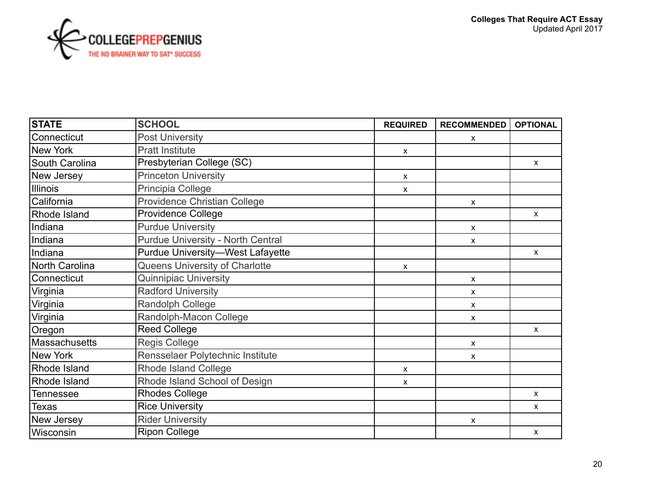

| <b>STATE</b>     | <b>SCHOOL</b>                            | <b>REQUIRED</b>           | <b>RECOMMENDED</b> | <b>OPTIONAL</b> |
|------------------|------------------------------------------|---------------------------|--------------------|-----------------|
| Connecticut      | <b>Post University</b>                   |                           | x                  |                 |
| New York         | <b>Pratt Institute</b>                   | $\mathsf{x}$              |                    |                 |
| South Carolina   | Presbyterian College (SC)                |                           |                    | $\mathsf{X}$    |
| New Jersey       | <b>Princeton University</b>              | $\pmb{\mathsf{X}}$        |                    |                 |
| Illinois         | Principia College                        | x                         |                    |                 |
| California       | <b>Providence Christian College</b>      |                           | X                  |                 |
| Rhode Island     | <b>Providence College</b>                |                           |                    | $\mathsf{X}$    |
| Indiana          | <b>Purdue University</b>                 |                           | X                  |                 |
| Indiana          | <b>Purdue University - North Central</b> |                           | X                  |                 |
| Indiana          | <b>Purdue University-West Lafayette</b>  |                           |                    | $\mathsf{X}$    |
| North Carolina   | Queens University of Charlotte           | $\boldsymbol{\mathsf{x}}$ |                    |                 |
| Connecticut      | <b>Quinnipiac University</b>             |                           | X                  |                 |
| Virginia         | <b>Radford University</b>                |                           | X                  |                 |
| Virginia         | Randolph College                         |                           | X                  |                 |
| Virginia         | Randolph-Macon College                   |                           | X                  |                 |
| Oregon           | <b>Reed College</b>                      |                           |                    | $\mathsf{x}$    |
| Massachusetts    | <b>Regis College</b>                     |                           | X                  |                 |
| New York         | Rensselaer Polytechnic Institute         |                           | x                  |                 |
| Rhode Island     | Rhode Island College                     | $\mathsf{x}$              |                    |                 |
| Rhode Island     | Rhode Island School of Design            | $\mathsf{x}$              |                    |                 |
| <b>Tennessee</b> | <b>Rhodes College</b>                    |                           |                    | $\mathsf{x}$    |
| <b>Texas</b>     | <b>Rice University</b>                   |                           |                    | $\mathsf{x}$    |
| New Jersey       | <b>Rider University</b>                  |                           | X                  |                 |
| Wisconsin        | <b>Ripon College</b>                     |                           |                    | X               |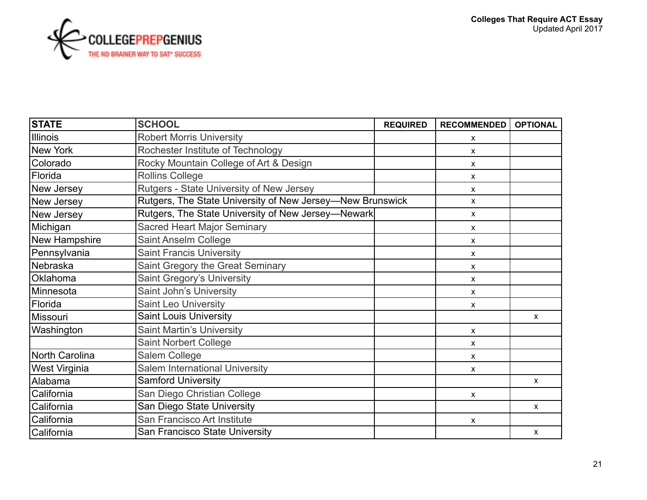

| <b>STATE</b>          | <b>SCHOOL</b>                                             | <b>REQUIRED</b> | <b>RECOMMENDED</b>        | <b>OPTIONAL</b> |
|-----------------------|-----------------------------------------------------------|-----------------|---------------------------|-----------------|
| <b>Illinois</b>       | <b>Robert Morris University</b>                           |                 | $\boldsymbol{\mathsf{x}}$ |                 |
| New York              | Rochester Institute of Technology                         |                 | $\mathsf{x}$              |                 |
| Colorado              | Rocky Mountain College of Art & Design                    |                 | X                         |                 |
| Florida               | <b>Rollins College</b>                                    |                 | $\boldsymbol{\mathsf{x}}$ |                 |
| New Jersey            | Rutgers - State University of New Jersey                  |                 | X                         |                 |
| New Jersey            | Rutgers, The State University of New Jersey-New Brunswick |                 | X                         |                 |
| New Jersey            | Rutgers, The State University of New Jersey-Newark        |                 | X                         |                 |
| Michigan              | <b>Sacred Heart Major Seminary</b>                        |                 | $\boldsymbol{\mathsf{x}}$ |                 |
| New Hampshire         | Saint Anselm College                                      |                 | $\mathsf{x}$              |                 |
| Pennsylvania          | <b>Saint Francis University</b>                           |                 | $\boldsymbol{\mathsf{x}}$ |                 |
| Nebraska              | Saint Gregory the Great Seminary                          |                 | X                         |                 |
| <b>Oklahoma</b>       | Saint Gregory's University                                |                 | $\pmb{\chi}$              |                 |
| Minnesota             | Saint John's University                                   |                 | $\boldsymbol{\mathsf{x}}$ |                 |
| Florida               | <b>Saint Leo University</b>                               |                 | $\pmb{\mathsf{X}}$        |                 |
| Missouri              | <b>Saint Louis University</b>                             |                 |                           | X               |
| Washington            | <b>Saint Martin's University</b>                          |                 | $\boldsymbol{\mathsf{x}}$ |                 |
|                       | <b>Saint Norbert College</b>                              |                 | X                         |                 |
| <b>North Carolina</b> | Salem College                                             |                 | $\boldsymbol{\mathsf{x}}$ |                 |
| <b>West Virginia</b>  | Salem International University                            |                 | X                         |                 |
| Alabama               | <b>Samford University</b>                                 |                 |                           | $\mathsf{x}$    |
| California            | San Diego Christian College                               |                 | $\boldsymbol{\mathsf{x}}$ |                 |
| California            | San Diego State University                                |                 |                           | X.              |
| California            | San Francisco Art Institute                               |                 | $\boldsymbol{\mathsf{x}}$ |                 |
| California            | San Francisco State University                            |                 |                           | $\mathsf{X}$    |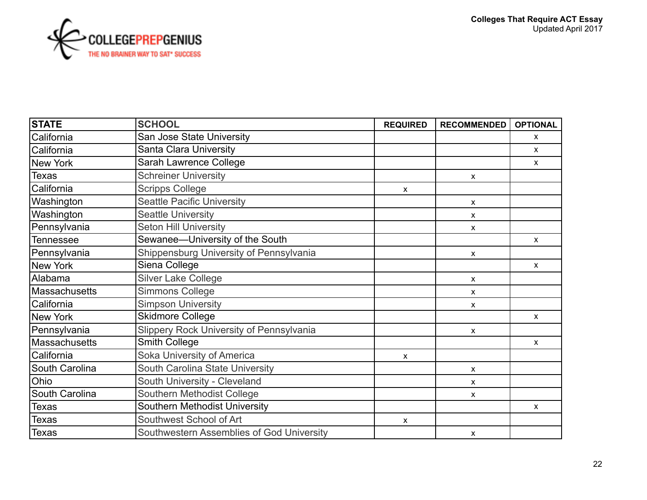

| <b>STATE</b>         | <b>SCHOOL</b>                             | <b>REQUIRED</b> | <b>RECOMMENDED</b> | <b>OPTIONAL</b> |
|----------------------|-------------------------------------------|-----------------|--------------------|-----------------|
| California           | San Jose State University                 |                 |                    | X               |
| California           | Santa Clara University                    |                 |                    | X               |
| New York             | Sarah Lawrence College                    |                 |                    | $\mathsf{x}$    |
| Texas                | <b>Schreiner University</b>               |                 | X                  |                 |
| California           | <b>Scripps College</b>                    | x               |                    |                 |
| Washington           | <b>Seattle Pacific University</b>         |                 | X                  |                 |
| Washington           | <b>Seattle University</b>                 |                 | x                  |                 |
| Pennsylvania         | <b>Seton Hill University</b>              |                 | $\mathsf{x}$       |                 |
| <b>Tennessee</b>     | Sewanee-University of the South           |                 |                    | $\mathsf{X}$    |
| Pennsylvania         | Shippensburg University of Pennsylvania   |                 | $\mathsf{x}$       |                 |
| <b>New York</b>      | Siena College                             |                 |                    | $\mathsf{x}$    |
| Alabama              | <b>Silver Lake College</b>                |                 | X                  |                 |
| <b>Massachusetts</b> | Simmons College                           |                 | X                  |                 |
| California           | <b>Simpson University</b>                 |                 | X                  |                 |
| <b>New York</b>      | <b>Skidmore College</b>                   |                 |                    | $\mathsf{x}$    |
| Pennsylvania         | Slippery Rock University of Pennsylvania  |                 | X                  |                 |
| Massachusetts        | <b>Smith College</b>                      |                 |                    | $\mathsf{x}$    |
| California           | Soka University of America                | X               |                    |                 |
| South Carolina       | South Carolina State University           |                 | X                  |                 |
| Ohio                 | South University - Cleveland              |                 | X                  |                 |
| South Carolina       | Southern Methodist College                |                 | x                  |                 |
| Texas                | <b>Southern Methodist University</b>      |                 |                    | $\mathsf{x}$    |
| Texas                | Southwest School of Art                   | X               |                    |                 |
| <b>Texas</b>         | Southwestern Assemblies of God University |                 | X                  |                 |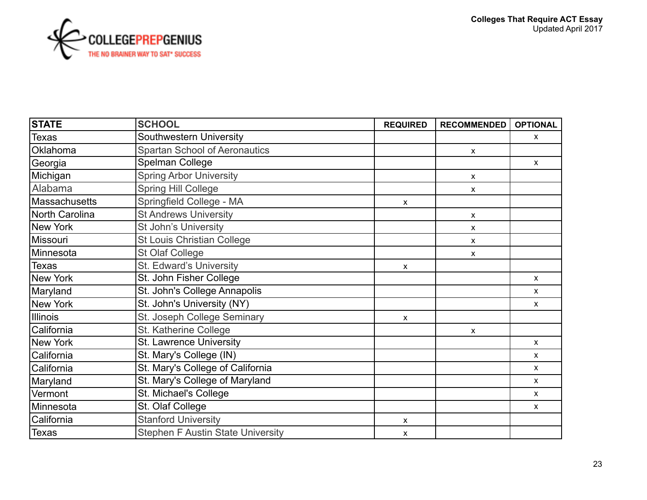

| <b>STATE</b>   | <b>SCHOOL</b>                            | <b>REQUIRED</b> | <b>RECOMMENDED</b>        | <b>OPTIONAL</b>    |
|----------------|------------------------------------------|-----------------|---------------------------|--------------------|
| <b>Texas</b>   | Southwestern University                  |                 |                           | X                  |
| Oklahoma       | <b>Spartan School of Aeronautics</b>     |                 | $\boldsymbol{\mathsf{x}}$ |                    |
| Georgia        | Spelman College                          |                 |                           | $\mathsf{x}$       |
| Michigan       | <b>Spring Arbor University</b>           |                 | X                         |                    |
| Alabama        | <b>Spring Hill College</b>               |                 | X                         |                    |
| Massachusetts  | Springfield College - MA                 | X               |                           |                    |
| North Carolina | <b>St Andrews University</b>             |                 | X                         |                    |
| New York       | St John's University                     |                 | X                         |                    |
| Missouri       | <b>St Louis Christian College</b>        |                 | X                         |                    |
| Minnesota      | St Olaf College                          |                 | X                         |                    |
| <b>Texas</b>   | St. Edward's University                  | X               |                           |                    |
| New York       | St. John Fisher College                  |                 |                           | $\pmb{\mathsf{X}}$ |
| Maryland       | St. John's College Annapolis             |                 |                           | $\mathsf{x}$       |
| New York       | St. John's University (NY)               |                 |                           | $\mathsf{X}$       |
| Illinois       | St. Joseph College Seminary              | X               |                           |                    |
| California     | St. Katherine College                    |                 | X                         |                    |
| New York       | <b>St. Lawrence University</b>           |                 |                           | $\pmb{\chi}$       |
| California     | St. Mary's College (IN)                  |                 |                           | $\mathsf{X}$       |
| California     | St. Mary's College of California         |                 |                           | $\mathsf{X}$       |
| Maryland       | St. Mary's College of Maryland           |                 |                           | $\mathsf{x}$       |
| Vermont        | St. Michael's College                    |                 |                           | $\mathsf{X}$       |
| Minnesota      | St. Olaf College                         |                 |                           | $\pmb{\mathsf{X}}$ |
| California     | <b>Stanford University</b>               | $\mathsf{x}$    |                           |                    |
| Texas          | <b>Stephen F Austin State University</b> | $\mathsf{x}$    |                           |                    |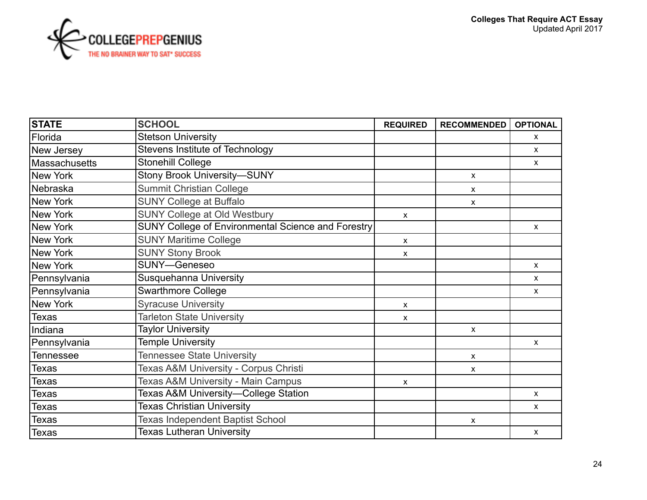

| <b>STATE</b>  | <b>SCHOOL</b>                                      | <b>REQUIRED</b>           | <b>RECOMMENDED</b>        | <b>OPTIONAL</b> |
|---------------|----------------------------------------------------|---------------------------|---------------------------|-----------------|
| Florida       | <b>Stetson University</b>                          |                           |                           | X               |
| New Jersey    | Stevens Institute of Technology                    |                           |                           | $\mathsf{X}$    |
| Massachusetts | <b>Stonehill College</b>                           |                           |                           | $\mathsf{X}$    |
| New York      | <b>Stony Brook University-SUNY</b>                 |                           | $\pmb{\chi}$              |                 |
| Nebraska      | <b>Summit Christian College</b>                    |                           | X                         |                 |
| New York      | <b>SUNY College at Buffalo</b>                     |                           | $\boldsymbol{\mathsf{x}}$ |                 |
| New York      | SUNY College at Old Westbury                       | $\mathsf{x}$              |                           |                 |
| New York      | SUNY College of Environmental Science and Forestry |                           |                           | $\mathsf{X}$    |
| New York      | <b>SUNY Maritime College</b>                       | $\mathsf{x}$              |                           |                 |
| New York      | <b>SUNY Stony Brook</b>                            | $\mathsf{x}$              |                           |                 |
| New York      | SUNY-Geneseo                                       |                           |                           | $\mathsf{X}$    |
| Pennsylvania  | <b>Susquehanna University</b>                      |                           |                           | $\mathsf{X}$    |
| Pennsylvania  | <b>Swarthmore College</b>                          |                           |                           | X               |
| New York      | <b>Syracuse University</b>                         | $\mathsf{x}$              |                           |                 |
| Texas         | <b>Tarleton State University</b>                   | $\boldsymbol{\mathsf{x}}$ |                           |                 |
| Indiana       | <b>Taylor University</b>                           |                           | $\pmb{\mathsf{X}}$        |                 |
| Pennsylvania  | <b>Temple University</b>                           |                           |                           | X               |
| Tennessee     | <b>Tennessee State University</b>                  |                           | $\boldsymbol{\mathsf{x}}$ |                 |
| Texas         | Texas A&M University - Corpus Christi              |                           | $\boldsymbol{\mathsf{x}}$ |                 |
| Texas         | Texas A&M University - Main Campus                 | $\mathsf{x}$              |                           |                 |
| Texas         | Texas A&M University-College Station               |                           |                           | X               |
| Texas         | <b>Texas Christian University</b>                  |                           |                           | X               |
| Texas         | <b>Texas Independent Baptist School</b>            |                           | $\boldsymbol{\mathsf{x}}$ |                 |
| Texas         | <b>Texas Lutheran University</b>                   |                           |                           | $\mathsf{X}$    |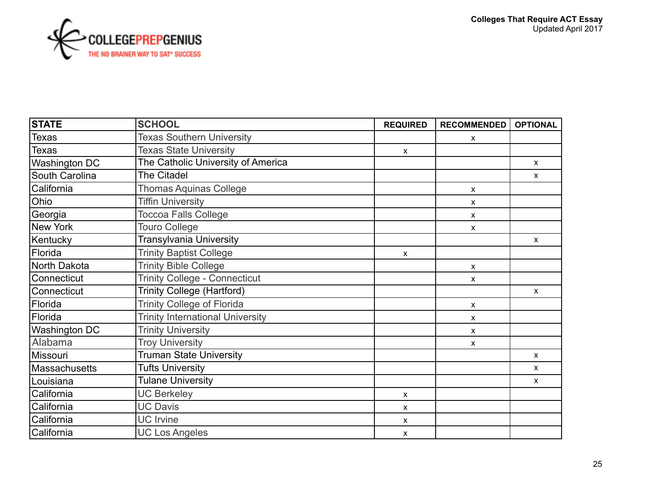

| <b>STATE</b>         | <b>SCHOOL</b>                           | <b>REQUIRED</b>           | <b>RECOMMENDED</b>        | <b>OPTIONAL</b> |
|----------------------|-----------------------------------------|---------------------------|---------------------------|-----------------|
| Texas                | <b>Texas Southern University</b>        |                           | X                         |                 |
| <b>Texas</b>         | <b>Texas State University</b>           | $\mathsf{x}$              |                           |                 |
| <b>Washington DC</b> | The Catholic University of America      |                           |                           | $\mathsf{X}$    |
| South Carolina       | The Citadel                             |                           |                           | $\mathsf{x}$    |
| California           | <b>Thomas Aquinas College</b>           |                           | X                         |                 |
| Ohio                 | <b>Tiffin University</b>                |                           | X                         |                 |
| Georgia              | <b>Toccoa Falls College</b>             |                           | X                         |                 |
| New York             | <b>Touro College</b>                    |                           | $\boldsymbol{\mathsf{x}}$ |                 |
| Kentucky             | Transylvania University                 |                           |                           | $\mathsf{x}$    |
| Florida              | <b>Trinity Baptist College</b>          | $\mathsf{x}$              |                           |                 |
| North Dakota         | <b>Trinity Bible College</b>            |                           | X                         |                 |
| Connecticut          | <b>Trinity College - Connecticut</b>    |                           | $\boldsymbol{\mathsf{x}}$ |                 |
| Connecticut          | Trinity College (Hartford)              |                           |                           | $\mathsf{X}$    |
| Florida              | <b>Trinity College of Florida</b>       |                           | X                         |                 |
| Florida              | <b>Trinity International University</b> |                           | X                         |                 |
| <b>Washington DC</b> | <b>Trinity University</b>               |                           | X                         |                 |
| Alabama              | <b>Troy University</b>                  |                           | x                         |                 |
| Missouri             | <b>Truman State University</b>          |                           |                           | $\mathsf{x}$    |
| Massachusetts        | Tufts University                        |                           |                           | X               |
| Louisiana            | <b>Tulane University</b>                |                           |                           | $\mathsf{x}$    |
| California           | <b>UC Berkeley</b>                      | $\boldsymbol{\mathsf{x}}$ |                           |                 |
| California           | <b>UC Davis</b>                         | $\mathsf{x}$              |                           |                 |
| California           | <b>UC</b> Irvine                        | X                         |                           |                 |
| California           | <b>UC Los Angeles</b>                   | $\pmb{\mathsf{X}}$        |                           |                 |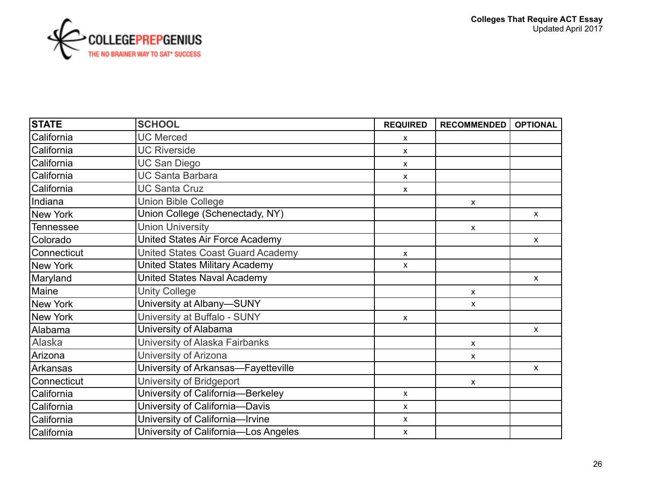

| <b>STATE</b> | <b>SCHOOL</b>                            | <b>REQUIRED</b>           | <b>RECOMMENDED</b>        | <b>OPTIONAL</b> |
|--------------|------------------------------------------|---------------------------|---------------------------|-----------------|
| California   | <b>UC Merced</b>                         | $\boldsymbol{\mathsf{x}}$ |                           |                 |
| California   | <b>UC Riverside</b>                      | $\boldsymbol{\mathsf{x}}$ |                           |                 |
| California   | <b>UC San Diego</b>                      | $\mathsf{x}$              |                           |                 |
| California   | <b>UC Santa Barbara</b>                  | $\boldsymbol{\mathsf{x}}$ |                           |                 |
| California   | <b>UC Santa Cruz</b>                     | $\boldsymbol{\mathsf{x}}$ |                           |                 |
| Indiana      | <b>Union Bible College</b>               |                           | $\pmb{\mathsf{X}}$        |                 |
| New York     | Union College (Schenectady, NY)          |                           |                           | $\mathsf{X}$    |
| Tennessee    | <b>Union University</b>                  |                           | $\boldsymbol{\mathsf{x}}$ |                 |
| Colorado     | United States Air Force Academy          |                           |                           | $\mathsf{x}$    |
| Connecticut  | <b>United States Coast Guard Academy</b> | $\mathsf{x}$              |                           |                 |
| New York     | <b>United States Military Academy</b>    | X                         |                           |                 |
| Maryland     | <b>United States Naval Academy</b>       |                           |                           | $\mathsf{X}$    |
| Maine        | <b>Unity College</b>                     |                           | X                         |                 |
| New York     | University at Albany-SUNY                |                           | $\mathsf{X}$              |                 |
| New York     | University at Buffalo - SUNY             | $\mathsf{x}$              |                           |                 |
| Alabama      | University of Alabama                    |                           |                           | $\mathsf{X}$    |
| Alaska       | University of Alaska Fairbanks           |                           | X                         |                 |
| Arizona      | University of Arizona                    |                           | $\mathsf{x}$              |                 |
| IArkansas    | University of Arkansas-Fayetteville      |                           |                           | $\mathsf{X}$    |
| Connecticut  | University of Bridgeport                 |                           | X                         |                 |
| California   | University of California-Berkeley        | X                         |                           |                 |
| California   | University of California-Davis           | X                         |                           |                 |
| California   | University of California-Irvine          | X                         |                           |                 |
| California   | University of California-Los Angeles     | $\mathsf{X}$              |                           |                 |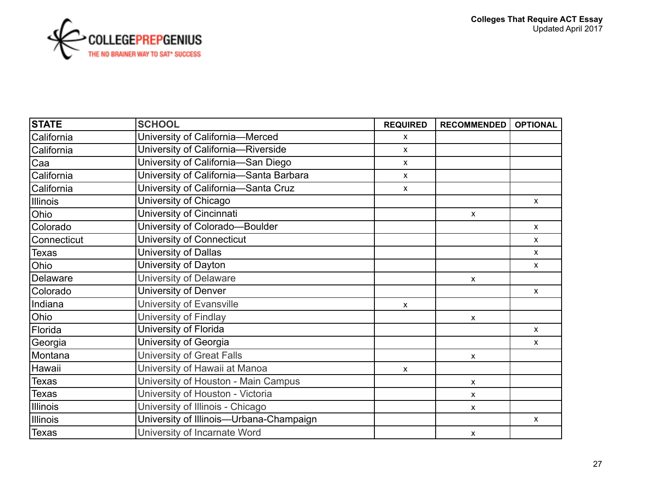

| <b>STATE</b> | <b>SCHOOL</b>                           | <b>REQUIRED</b>           | <b>RECOMMENDED</b>        | <b>OPTIONAL</b> |
|--------------|-----------------------------------------|---------------------------|---------------------------|-----------------|
| California   | University of California-Merced         | X                         |                           |                 |
| California   | University of California-Riverside      | $\mathsf{x}$              |                           |                 |
| Caa          | University of California-San Diego      | $\mathsf{x}$              |                           |                 |
| California   | University of California-Santa Barbara  | $\mathsf{x}$              |                           |                 |
| California   | University of California-Santa Cruz     | $\mathsf{x}$              |                           |                 |
| Illinois     | University of Chicago                   |                           |                           | $\mathsf{X}$    |
| Ohio         | University of Cincinnati                |                           | $\mathsf{X}$              |                 |
| Colorado     | University of Colorado-Boulder          |                           |                           | $\mathsf{X}$    |
| Connecticut  | University of Connecticut               |                           |                           | X               |
| <b>Texas</b> | University of Dallas                    |                           |                           | X               |
| Ohio         | University of Dayton                    |                           |                           | $\mathsf{X}$    |
| Delaware     | University of Delaware                  |                           | $\boldsymbol{\mathsf{x}}$ |                 |
| Colorado     | University of Denver                    |                           |                           | X               |
| Indiana      | University of Evansville                | $\boldsymbol{\mathsf{x}}$ |                           |                 |
| Ohio         | University of Findlay                   |                           | $\boldsymbol{\mathsf{x}}$ |                 |
| Florida      | University of Florida                   |                           |                           | $\mathsf{x}$    |
| Georgia      | University of Georgia                   |                           |                           | $\mathsf{X}$    |
| Montana      | University of Great Falls               |                           | $\boldsymbol{\mathsf{x}}$ |                 |
| Hawaii       | University of Hawaii at Manoa           | $\mathsf{x}$              |                           |                 |
| <b>Texas</b> | University of Houston - Main Campus     |                           | $\pmb{\mathsf{X}}$        |                 |
| <b>Texas</b> | University of Houston - Victoria        |                           | $\boldsymbol{\mathsf{x}}$ |                 |
| Illinois     | University of Illinois - Chicago        |                           | $\boldsymbol{\mathsf{x}}$ |                 |
| Illinois     | University of Illinois-Urbana-Champaign |                           |                           | X               |
| <b>Texas</b> | University of Incarnate Word            |                           | $\boldsymbol{\mathsf{x}}$ |                 |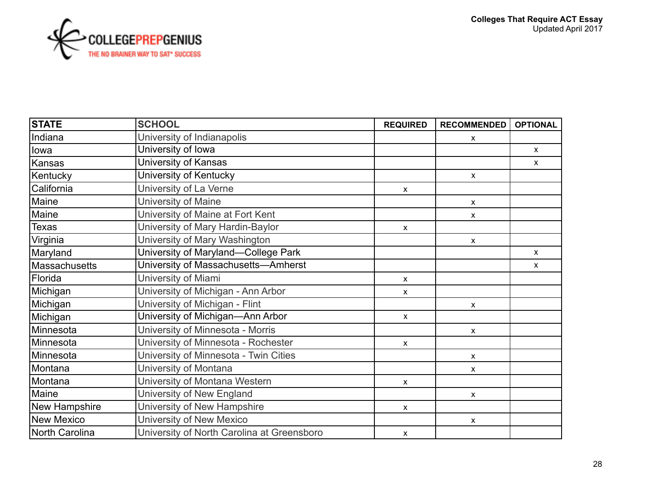

| <b>STATE</b>   | <b>SCHOOL</b>                              | <b>REQUIRED</b> | <b>RECOMMENDED</b>        | <b>OPTIONAL</b> |
|----------------|--------------------------------------------|-----------------|---------------------------|-----------------|
| Indiana        | University of Indianapolis                 |                 | X                         |                 |
| lowa           | University of Iowa                         |                 |                           | $\mathsf{x}$    |
| Kansas         | University of Kansas                       |                 |                           | $\mathsf{X}$    |
| Kentucky       | University of Kentucky                     |                 | $\mathsf{X}$              |                 |
| California     | University of La Verne                     | X               |                           |                 |
| Maine          | University of Maine                        |                 | X                         |                 |
| Maine          | University of Maine at Fort Kent           |                 | X                         |                 |
| <b>Texas</b>   | University of Mary Hardin-Baylor           | $\mathsf{x}$    |                           |                 |
| Virginia       | University of Mary Washington              |                 | X                         |                 |
| Maryland       | University of Maryland—College Park        |                 |                           | $\mathsf{x}$    |
| Massachusetts  | University of Massachusetts-Amherst        |                 |                           | $\mathsf{x}$    |
| Florida        | University of Miami                        | X               |                           |                 |
| Michigan       | University of Michigan - Ann Arbor         | x               |                           |                 |
| Michigan       | University of Michigan - Flint             |                 | $\boldsymbol{\mathsf{x}}$ |                 |
| Michigan       | University of Michigan-Ann Arbor           | $\mathsf{X}$    |                           |                 |
| Minnesota      | University of Minnesota - Morris           |                 | X                         |                 |
| Minnesota      | University of Minnesota - Rochester        | X               |                           |                 |
| Minnesota      | University of Minnesota - Twin Cities      |                 | $\boldsymbol{\mathsf{x}}$ |                 |
| Montana        | University of Montana                      |                 | X                         |                 |
| Montana        | University of Montana Western              | $\mathsf{x}$    |                           |                 |
| Maine          | University of New England                  |                 | $\boldsymbol{\mathsf{x}}$ |                 |
| New Hampshire  | University of New Hampshire                | $\mathsf{x}$    |                           |                 |
| New Mexico     | University of New Mexico                   |                 | X                         |                 |
| North Carolina | University of North Carolina at Greensboro | $\mathsf{x}$    |                           |                 |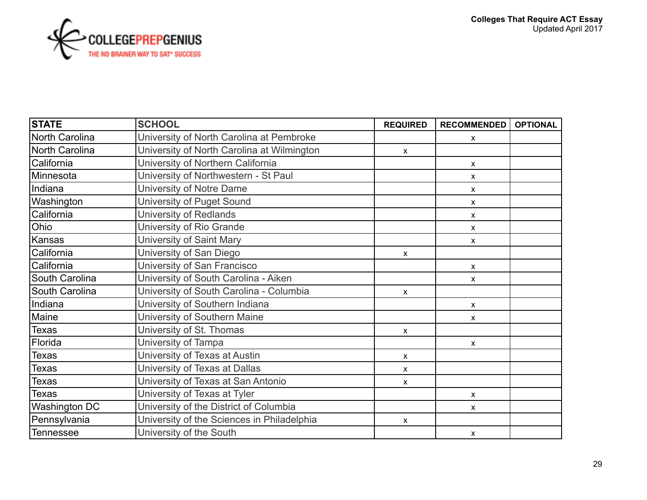

| <b>STATE</b>          | <b>SCHOOL</b>                              | <b>REQUIRED</b> | <b>RECOMMENDED</b>        | <b>OPTIONAL</b> |
|-----------------------|--------------------------------------------|-----------------|---------------------------|-----------------|
| North Carolina        | University of North Carolina at Pembroke   |                 | $\pmb{\mathsf{X}}$        |                 |
| North Carolina        | University of North Carolina at Wilmington | $\mathsf{x}$    |                           |                 |
| California            | University of Northern California          |                 | $\boldsymbol{\mathsf{x}}$ |                 |
| IMinnesota            | University of Northwestern - St Paul       |                 | $\mathsf{x}$              |                 |
| Indiana               | University of Notre Dame                   |                 | $\boldsymbol{\mathsf{x}}$ |                 |
| Washington            | University of Puget Sound                  |                 | $\boldsymbol{\mathsf{x}}$ |                 |
| California            | <b>University of Redlands</b>              |                 | $\boldsymbol{\mathsf{x}}$ |                 |
| Ohio                  | University of Rio Grande                   |                 | $\mathsf{x}$              |                 |
| Kansas                | University of Saint Mary                   |                 | $\boldsymbol{\mathsf{x}}$ |                 |
| California            | University of San Diego                    | X               |                           |                 |
| California            | University of San Francisco                |                 | $\pmb{\mathsf{X}}$        |                 |
| <b>South Carolina</b> | University of South Carolina - Aiken       |                 | $\boldsymbol{\mathsf{x}}$ |                 |
| <b>South Carolina</b> | University of South Carolina - Columbia    | $\mathsf{x}$    |                           |                 |
| Indiana               | University of Southern Indiana             |                 | $\pmb{\mathsf{X}}$        |                 |
| Maine                 | University of Southern Maine               |                 | $\boldsymbol{\mathsf{x}}$ |                 |
| <b>Texas</b>          | University of St. Thomas                   | $\mathsf{x}$    |                           |                 |
| Florida               | University of Tampa                        |                 | $\mathsf{x}$              |                 |
| Texas                 | University of Texas at Austin              | $\mathsf{x}$    |                           |                 |
| Texas                 | University of Texas at Dallas              | $\mathsf{x}$    |                           |                 |
| Texas                 | University of Texas at San Antonio         | $\mathsf{x}$    |                           |                 |
| <b>Texas</b>          | University of Texas at Tyler               |                 | $\boldsymbol{\mathsf{x}}$ |                 |
| <b>Washington DC</b>  | University of the District of Columbia     |                 | $\boldsymbol{\mathsf{x}}$ |                 |
| Pennsylvania          | University of the Sciences in Philadelphia | $\mathsf{x}$    |                           |                 |
| Tennessee             | University of the South                    |                 | $\boldsymbol{\mathsf{x}}$ |                 |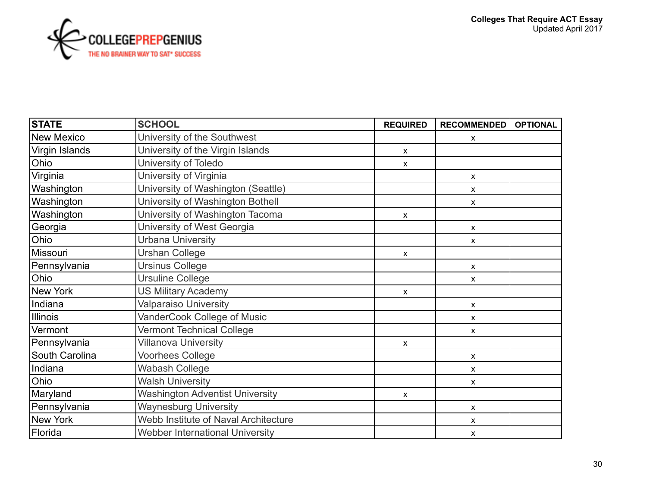

| <b>STATE</b>   | <b>SCHOOL</b>                               | <b>REQUIRED</b>           | <b>RECOMMENDED</b>        | <b>OPTIONAL</b> |
|----------------|---------------------------------------------|---------------------------|---------------------------|-----------------|
| New Mexico     | University of the Southwest                 |                           | $\boldsymbol{\mathsf{x}}$ |                 |
| Virgin Islands | University of the Virgin Islands            | $\pmb{\chi}$              |                           |                 |
| Ohio           | University of Toledo                        | X                         |                           |                 |
| Virginia       | University of Virginia                      |                           | $\pmb{\chi}$              |                 |
| Washington     | University of Washington (Seattle)          |                           | $\boldsymbol{\mathsf{x}}$ |                 |
| Washington     | University of Washington Bothell            |                           | $\boldsymbol{\mathsf{x}}$ |                 |
| Washington     | University of Washington Tacoma             | X                         |                           |                 |
| Georgia        | University of West Georgia                  |                           | $\boldsymbol{\mathsf{X}}$ |                 |
| Ohio           | <b>Urbana University</b>                    |                           | $\pmb{\chi}$              |                 |
| Missouri       | <b>Urshan College</b>                       | $\pmb{\chi}$              |                           |                 |
| Pennsylvania   | <b>Ursinus College</b>                      |                           | $\pmb{\mathsf{X}}$        |                 |
| Ohio           | <b>Ursuline College</b>                     |                           | $\pmb{\mathsf{X}}$        |                 |
| New York       | <b>US Military Academy</b>                  | $\mathsf{x}$              |                           |                 |
| Indiana        | <b>Valparaiso University</b>                |                           | $\boldsymbol{\mathsf{x}}$ |                 |
| Illinois       | VanderCook College of Music                 |                           | X                         |                 |
| Vermont        | <b>Vermont Technical College</b>            |                           | $\boldsymbol{\mathsf{x}}$ |                 |
| Pennsylvania   | <b>Villanova University</b>                 | $\boldsymbol{\mathsf{x}}$ |                           |                 |
| South Carolina | <b>Voorhees College</b>                     |                           | $\boldsymbol{\mathsf{x}}$ |                 |
| Indiana        | Wabash College                              |                           | X                         |                 |
| Ohio           | <b>Walsh University</b>                     |                           | $\boldsymbol{\mathsf{x}}$ |                 |
| Maryland       | <b>Washington Adventist University</b>      | X                         |                           |                 |
| Pennsylvania   | <b>Waynesburg University</b>                |                           | X                         |                 |
| New York       | <b>Webb Institute of Naval Architecture</b> |                           | X                         |                 |
| Florida        | <b>Webber International University</b>      |                           | X                         |                 |